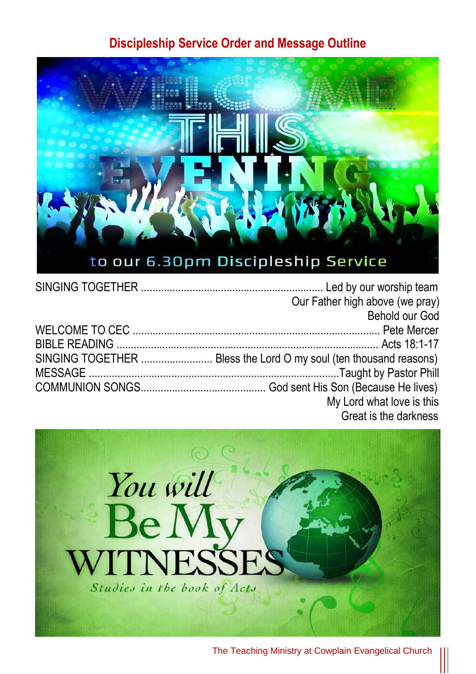### **Discipleship Service Order and Message Outline**



|  | Our Father high above (we pray)                                   |
|--|-------------------------------------------------------------------|
|  | Behold our God                                                    |
|  |                                                                   |
|  |                                                                   |
|  | SINGING TOGETHER  Bless the Lord O my soul (ten thousand reasons) |
|  |                                                                   |
|  |                                                                   |
|  | My Lord what love is this                                         |
|  | Great is the darkness                                             |



The Teaching Ministry at Cowplain Evangelical Church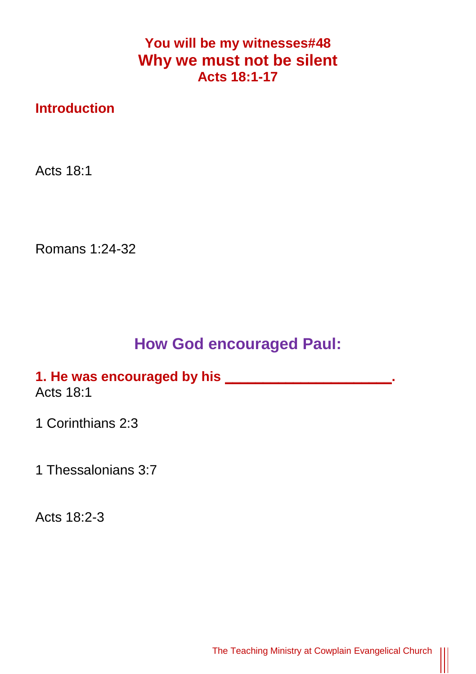## **You will be my witnesses#48 Why we must not be silent Acts 18:1-17**

## **Introduction**

Acts 18:1

Romans 1:24-32

## **How God encouraged Paul:**

#### **1. He was encouraged by his \_\_\_\_\_\_\_\_\_\_\_\_\_\_\_\_\_\_\_\_\_\_.** Acts 18:1

1 Corinthians 2:3

1 Thessalonians 3:7

Acts 18:2-3

 $\parallel$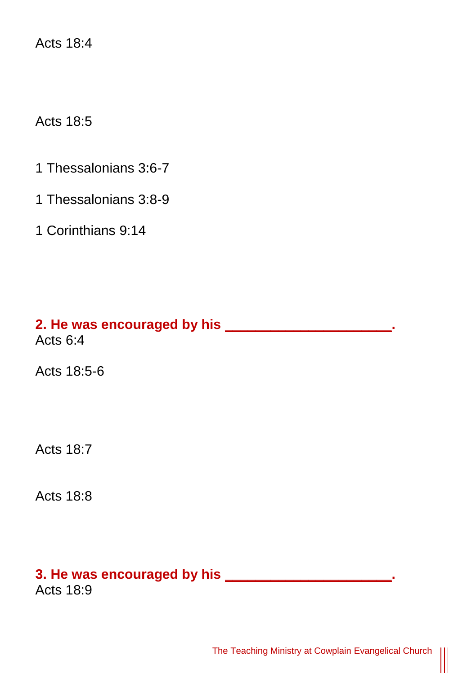Acts 18:4

Acts 18:5

- 1 Thessalonians 3:6-7
- 1 Thessalonians 3:8-9
- 1 Corinthians 9:14

**2. He was encouraged by his \_\_\_\_\_\_\_\_\_\_\_\_\_\_\_\_\_\_\_\_\_\_.** Acts 6:4

Acts 18:5-6

Acts 18:7

Acts 18:8

# **3. He was encouraged by his \_\_\_\_\_\_\_\_\_\_\_\_\_\_\_\_\_\_\_\_\_\_.**

Acts 18:9

 $\parallel$